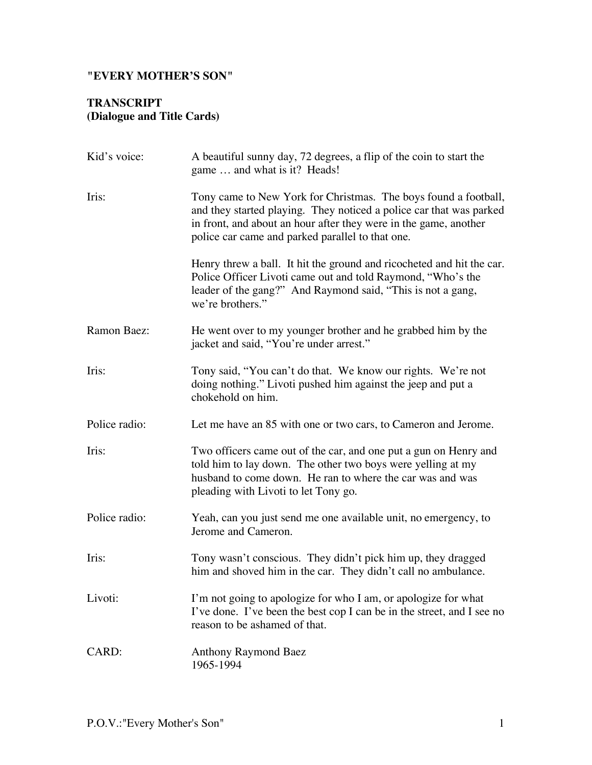## **"EVERY MOTHER'S SON"**

## **TRANSCRIPT (Dialogue and Title Cards)**

| Kid's voice:  | A beautiful sunny day, 72 degrees, a flip of the coin to start the<br>game  and what is it? Heads!                                                                                                                                                             |
|---------------|----------------------------------------------------------------------------------------------------------------------------------------------------------------------------------------------------------------------------------------------------------------|
| Iris:         | Tony came to New York for Christmas. The boys found a football,<br>and they started playing. They noticed a police car that was parked<br>in front, and about an hour after they were in the game, another<br>police car came and parked parallel to that one. |
|               | Henry threw a ball. It hit the ground and ricocheted and hit the car.<br>Police Officer Livoti came out and told Raymond, "Who's the<br>leader of the gang?" And Raymond said, "This is not a gang,<br>we're brothers."                                        |
| Ramon Baez:   | He went over to my younger brother and he grabbed him by the<br>jacket and said, "You're under arrest."                                                                                                                                                        |
| Iris:         | Tony said, "You can't do that. We know our rights. We're not<br>doing nothing." Livoti pushed him against the jeep and put a<br>chokehold on him.                                                                                                              |
| Police radio: | Let me have an 85 with one or two cars, to Cameron and Jerome.                                                                                                                                                                                                 |
| Iris:         | Two officers came out of the car, and one put a gun on Henry and<br>told him to lay down. The other two boys were yelling at my<br>husband to come down. He ran to where the car was and was<br>pleading with Livoti to let Tony go.                           |
| Police radio: | Yeah, can you just send me one available unit, no emergency, to<br>Jerome and Cameron.                                                                                                                                                                         |
| Iris:         | Tony wasn't conscious. They didn't pick him up, they dragged<br>him and shoved him in the car. They didn't call no ambulance.                                                                                                                                  |
| Livoti:       | I'm not going to apologize for who I am, or apologize for what<br>I've done. I've been the best cop I can be in the street, and I see no<br>reason to be ashamed of that.                                                                                      |
| CARD:         | <b>Anthony Raymond Baez</b><br>1965-1994                                                                                                                                                                                                                       |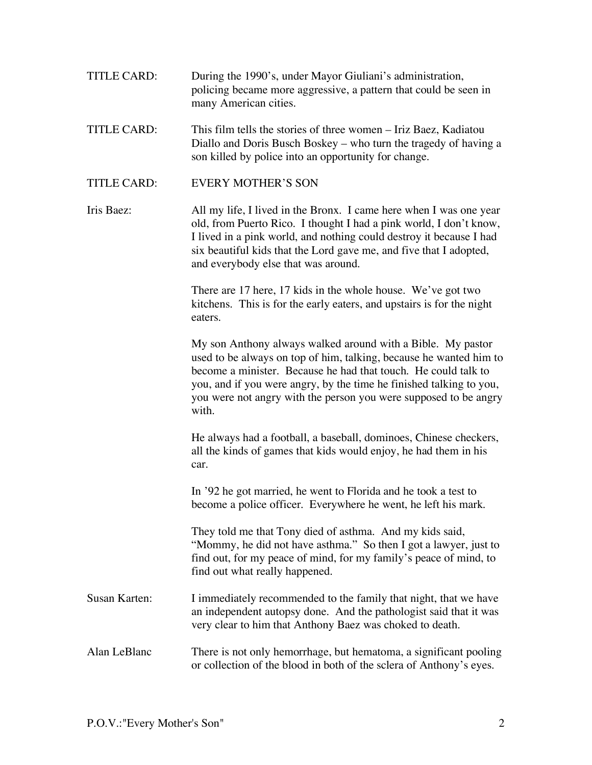| TITLE CARD: | During the 1990's, under Mayor Giuliani's administration,        |
|-------------|------------------------------------------------------------------|
|             | policing became more aggressive, a pattern that could be seen in |
|             | many American cities.                                            |

TITLE CARD: This film tells the stories of three women – Iriz Baez, Kadiatou Diallo and Doris Busch Boskey – who turn the tragedy of having a son killed by police into an opportunity for change.

## TITLE CARD: EVERY MOTHER'S SON

Iris Baez: All my life, I lived in the Bronx. I came here when I was one year old, from Puerto Rico. I thought I had a pink world, I don't know, I lived in a pink world, and nothing could destroy it because I had six beautiful kids that the Lord gave me, and five that I adopted, and everybody else that was around.

> There are 17 here, 17 kids in the whole house. We've got two kitchens. This is for the early eaters, and upstairs is for the night eaters.

My son Anthony always walked around with a Bible. My pastor used to be always on top of him, talking, because he wanted him to become a minister. Because he had that touch. He could talk to you, and if you were angry, by the time he finished talking to you, you were not angry with the person you were supposed to be angry with.

He always had a football, a baseball, dominoes, Chinese checkers, all the kinds of games that kids would enjoy, he had them in his car.

In '92 he got married, he went to Florida and he took a test to become a police officer. Everywhere he went, he left his mark.

They told me that Tony died of asthma. And my kids said, "Mommy, he did not have asthma." So then I got a lawyer, just to find out, for my peace of mind, for my family's peace of mind, to find out what really happened.

- Susan Karten: I immediately recommended to the family that night, that we have an independent autopsy done. And the pathologist said that it was very clear to him that Anthony Baez was choked to death.
- Alan LeBlanc There is not only hemorrhage, but hematoma, a significant pooling or collection of the blood in both of the sclera of Anthony's eyes.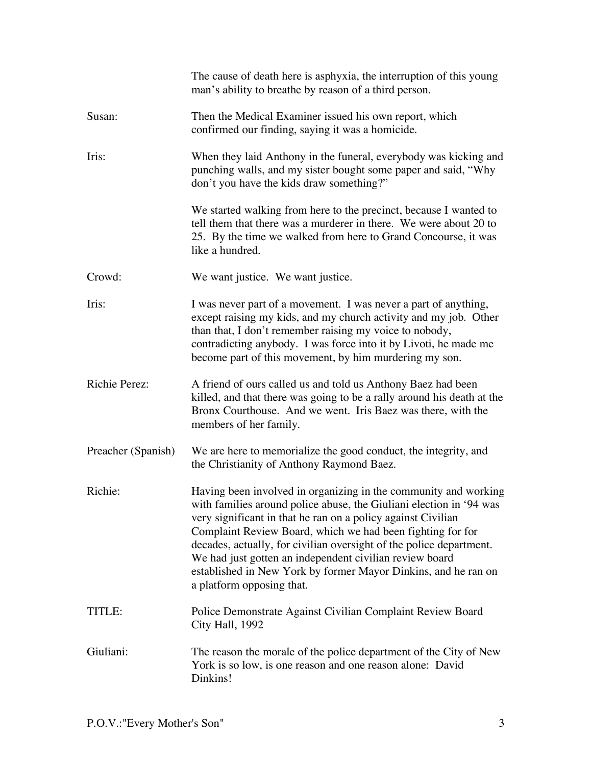|                    | The cause of death here is asphyxia, the interruption of this young<br>man's ability to breathe by reason of a third person.                                                                                                                                                                                                                                                                                                                                                                          |
|--------------------|-------------------------------------------------------------------------------------------------------------------------------------------------------------------------------------------------------------------------------------------------------------------------------------------------------------------------------------------------------------------------------------------------------------------------------------------------------------------------------------------------------|
| Susan:             | Then the Medical Examiner issued his own report, which<br>confirmed our finding, saying it was a homicide.                                                                                                                                                                                                                                                                                                                                                                                            |
| Iris:              | When they laid Anthony in the funeral, everybody was kicking and<br>punching walls, and my sister bought some paper and said, "Why<br>don't you have the kids draw something?"                                                                                                                                                                                                                                                                                                                        |
|                    | We started walking from here to the precinct, because I wanted to<br>tell them that there was a murderer in there. We were about 20 to<br>25. By the time we walked from here to Grand Concourse, it was<br>like a hundred.                                                                                                                                                                                                                                                                           |
| Crowd:             | We want justice. We want justice.                                                                                                                                                                                                                                                                                                                                                                                                                                                                     |
| Iris:              | I was never part of a movement. I was never a part of anything,<br>except raising my kids, and my church activity and my job. Other<br>than that, I don't remember raising my voice to nobody,<br>contradicting anybody. I was force into it by Livoti, he made me<br>become part of this movement, by him murdering my son.                                                                                                                                                                          |
| Richie Perez:      | A friend of ours called us and told us Anthony Baez had been<br>killed, and that there was going to be a rally around his death at the<br>Bronx Courthouse. And we went. Iris Baez was there, with the<br>members of her family.                                                                                                                                                                                                                                                                      |
| Preacher (Spanish) | We are here to memorialize the good conduct, the integrity, and<br>the Christianity of Anthony Raymond Baez.                                                                                                                                                                                                                                                                                                                                                                                          |
| Richie:            | Having been involved in organizing in the community and working<br>with families around police abuse, the Giuliani election in '94 was<br>very significant in that he ran on a policy against Civilian<br>Complaint Review Board, which we had been fighting for for<br>decades, actually, for civilian oversight of the police department.<br>We had just gotten an independent civilian review board<br>established in New York by former Mayor Dinkins, and he ran on<br>a platform opposing that. |
| TITLE:             | Police Demonstrate Against Civilian Complaint Review Board<br>City Hall, 1992                                                                                                                                                                                                                                                                                                                                                                                                                         |
| Giuliani:          | The reason the morale of the police department of the City of New<br>York is so low, is one reason and one reason alone: David<br>Dinkins!                                                                                                                                                                                                                                                                                                                                                            |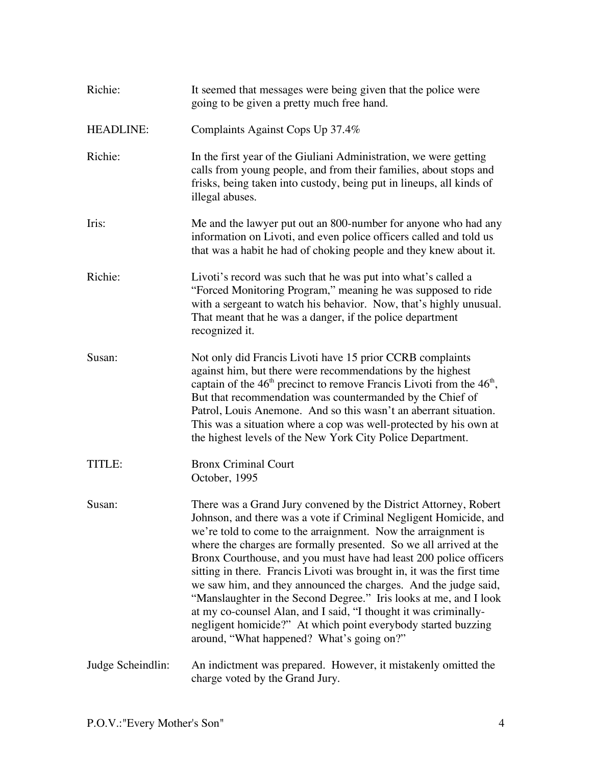| Richie:           | It seemed that messages were being given that the police were<br>going to be given a pretty much free hand.                                                                                                                                                                                                                                                                                                                                                                                                                                                                                                                                                                                                                                           |
|-------------------|-------------------------------------------------------------------------------------------------------------------------------------------------------------------------------------------------------------------------------------------------------------------------------------------------------------------------------------------------------------------------------------------------------------------------------------------------------------------------------------------------------------------------------------------------------------------------------------------------------------------------------------------------------------------------------------------------------------------------------------------------------|
| <b>HEADLINE:</b>  | Complaints Against Cops Up 37.4%                                                                                                                                                                                                                                                                                                                                                                                                                                                                                                                                                                                                                                                                                                                      |
| Richie:           | In the first year of the Giuliani Administration, we were getting<br>calls from young people, and from their families, about stops and<br>frisks, being taken into custody, being put in lineups, all kinds of<br>illegal abuses.                                                                                                                                                                                                                                                                                                                                                                                                                                                                                                                     |
| Iris:             | Me and the lawyer put out an 800-number for anyone who had any<br>information on Livoti, and even police officers called and told us<br>that was a habit he had of choking people and they knew about it.                                                                                                                                                                                                                                                                                                                                                                                                                                                                                                                                             |
| Richie:           | Livoti's record was such that he was put into what's called a<br>"Forced Monitoring Program," meaning he was supposed to ride<br>with a sergeant to watch his behavior. Now, that's highly unusual.<br>That meant that he was a danger, if the police department<br>recognized it.                                                                                                                                                                                                                                                                                                                                                                                                                                                                    |
| Susan:            | Not only did Francis Livoti have 15 prior CCRB complaints<br>against him, but there were recommendations by the highest<br>captain of the $46th$ precinct to remove Francis Livoti from the $46th$ ,<br>But that recommendation was countermanded by the Chief of<br>Patrol, Louis Anemone. And so this wasn't an aberrant situation.<br>This was a situation where a cop was well-protected by his own at<br>the highest levels of the New York City Police Department.                                                                                                                                                                                                                                                                              |
| TITLE:            | <b>Bronx Criminal Court</b><br>October, 1995                                                                                                                                                                                                                                                                                                                                                                                                                                                                                                                                                                                                                                                                                                          |
| Susan:            | There was a Grand Jury convened by the District Attorney, Robert<br>Johnson, and there was a vote if Criminal Negligent Homicide, and<br>we're told to come to the arraignment. Now the arraignment is<br>where the charges are formally presented. So we all arrived at the<br>Bronx Courthouse, and you must have had least 200 police officers<br>sitting in there. Francis Livoti was brought in, it was the first time<br>we saw him, and they announced the charges. And the judge said,<br>"Manslaughter in the Second Degree." Iris looks at me, and I look<br>at my co-counsel Alan, and I said, "I thought it was criminally-<br>negligent homicide?" At which point everybody started buzzing<br>around, "What happened? What's going on?" |
| Judge Scheindlin: | An indictment was prepared. However, it mistakenly omitted the<br>charge voted by the Grand Jury.                                                                                                                                                                                                                                                                                                                                                                                                                                                                                                                                                                                                                                                     |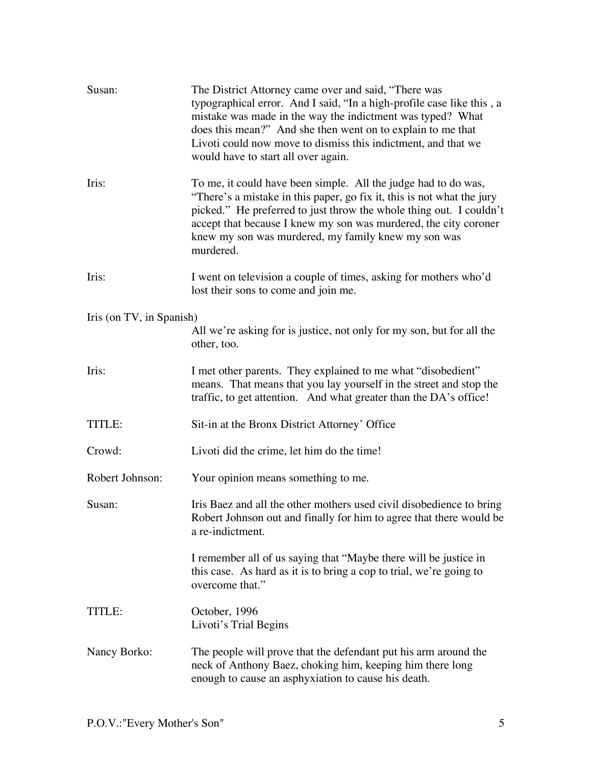| Susan:                   | The District Attorney came over and said, "There was<br>typographical error. And I said, "In a high-profile case like this, a<br>mistake was made in the way the indictment was typed? What<br>does this mean?" And she then went on to explain to me that<br>Livoti could now move to dismiss this indictment, and that we<br>would have to start all over again. |
|--------------------------|--------------------------------------------------------------------------------------------------------------------------------------------------------------------------------------------------------------------------------------------------------------------------------------------------------------------------------------------------------------------|
| Iris:                    | To me, it could have been simple. All the judge had to do was,<br>"There's a mistake in this paper, go fix it, this is not what the jury<br>picked." He preferred to just throw the whole thing out. I couldn't<br>accept that because I knew my son was murdered, the city coroner<br>knew my son was murdered, my family knew my son was<br>murdered.            |
| Iris:                    | I went on television a couple of times, asking for mothers who'd<br>lost their sons to come and join me.                                                                                                                                                                                                                                                           |
| Iris (on TV, in Spanish) | All we're asking for is justice, not only for my son, but for all the<br>other, too.                                                                                                                                                                                                                                                                               |
| Iris:                    | I met other parents. They explained to me what "disobedient"<br>means. That means that you lay yourself in the street and stop the<br>traffic, to get attention. And what greater than the DA's office!                                                                                                                                                            |
| TITLE:                   | Sit-in at the Bronx District Attorney' Office                                                                                                                                                                                                                                                                                                                      |
| Crowd:                   | Livoti did the crime, let him do the time!                                                                                                                                                                                                                                                                                                                         |
| Robert Johnson:          | Your opinion means something to me.                                                                                                                                                                                                                                                                                                                                |
| Susan:                   | Iris Baez and all the other mothers used civil disobedience to bring<br>Robert Johnson out and finally for him to agree that there would be<br>a re-indictment.                                                                                                                                                                                                    |
|                          | I remember all of us saying that "Maybe there will be justice in<br>this case. As hard as it is to bring a cop to trial, we're going to<br>overcome that."                                                                                                                                                                                                         |
| TITLE:                   | October, 1996<br>Livoti's Trial Begins                                                                                                                                                                                                                                                                                                                             |
| Nancy Borko:             | The people will prove that the defendant put his arm around the<br>neck of Anthony Baez, choking him, keeping him there long<br>enough to cause an asphyxiation to cause his death.                                                                                                                                                                                |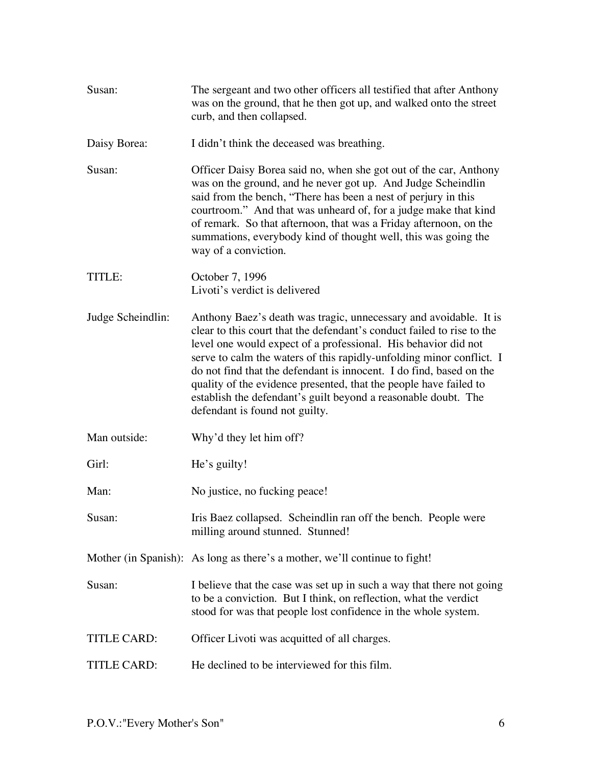| Susan:             | The sergeant and two other officers all testified that after Anthony<br>was on the ground, that he then got up, and walked onto the street<br>curb, and then collapsed.                                                                                                                                                                                                                                                                                                                                                               |
|--------------------|---------------------------------------------------------------------------------------------------------------------------------------------------------------------------------------------------------------------------------------------------------------------------------------------------------------------------------------------------------------------------------------------------------------------------------------------------------------------------------------------------------------------------------------|
| Daisy Borea:       | I didn't think the deceased was breathing.                                                                                                                                                                                                                                                                                                                                                                                                                                                                                            |
| Susan:             | Officer Daisy Borea said no, when she got out of the car, Anthony<br>was on the ground, and he never got up. And Judge Scheindlin<br>said from the bench, "There has been a nest of perjury in this<br>courtroom." And that was unheard of, for a judge make that kind<br>of remark. So that afternoon, that was a Friday afternoon, on the<br>summations, everybody kind of thought well, this was going the<br>way of a conviction.                                                                                                 |
| TITLE:             | October 7, 1996<br>Livoti's verdict is delivered                                                                                                                                                                                                                                                                                                                                                                                                                                                                                      |
| Judge Scheindlin:  | Anthony Baez's death was tragic, unnecessary and avoidable. It is<br>clear to this court that the defendant's conduct failed to rise to the<br>level one would expect of a professional. His behavior did not<br>serve to calm the waters of this rapidly-unfolding minor conflict. I<br>do not find that the defendant is innocent. I do find, based on the<br>quality of the evidence presented, that the people have failed to<br>establish the defendant's guilt beyond a reasonable doubt. The<br>defendant is found not guilty. |
| Man outside:       | Why'd they let him off?                                                                                                                                                                                                                                                                                                                                                                                                                                                                                                               |
| Girl:              | He's guilty!                                                                                                                                                                                                                                                                                                                                                                                                                                                                                                                          |
| Man:               | No justice, no fucking peace!                                                                                                                                                                                                                                                                                                                                                                                                                                                                                                         |
| Susan:             | Iris Baez collapsed. Scheindlin ran off the bench. People were<br>milling around stunned. Stunned!                                                                                                                                                                                                                                                                                                                                                                                                                                    |
|                    | Mother (in Spanish): As long as there's a mother, we'll continue to fight!                                                                                                                                                                                                                                                                                                                                                                                                                                                            |
| Susan:             | I believe that the case was set up in such a way that there not going<br>to be a conviction. But I think, on reflection, what the verdict<br>stood for was that people lost confidence in the whole system.                                                                                                                                                                                                                                                                                                                           |
| <b>TITLE CARD:</b> | Officer Livoti was acquitted of all charges.                                                                                                                                                                                                                                                                                                                                                                                                                                                                                          |
| <b>TITLE CARD:</b> | He declined to be interviewed for this film.                                                                                                                                                                                                                                                                                                                                                                                                                                                                                          |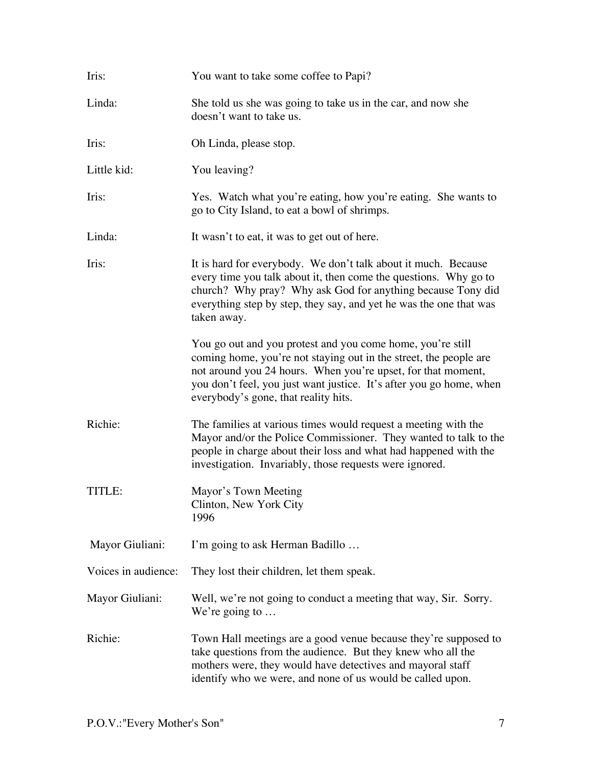| Iris:               | You want to take some coffee to Papi?                                                                                                                                                                                                                                                                          |
|---------------------|----------------------------------------------------------------------------------------------------------------------------------------------------------------------------------------------------------------------------------------------------------------------------------------------------------------|
| Linda:              | She told us she was going to take us in the car, and now she<br>doesn't want to take us.                                                                                                                                                                                                                       |
| Iris:               | Oh Linda, please stop.                                                                                                                                                                                                                                                                                         |
| Little kid:         | You leaving?                                                                                                                                                                                                                                                                                                   |
| Iris:               | Yes. Watch what you're eating, how you're eating. She wants to<br>go to City Island, to eat a bowl of shrimps.                                                                                                                                                                                                 |
| Linda:              | It wasn't to eat, it was to get out of here.                                                                                                                                                                                                                                                                   |
| Iris:               | It is hard for everybody. We don't talk about it much. Because<br>every time you talk about it, then come the questions. Why go to<br>church? Why pray? Why ask God for anything because Tony did<br>everything step by step, they say, and yet he was the one that was<br>taken away.                         |
|                     | You go out and you protest and you come home, you're still<br>coming home, you're not staying out in the street, the people are<br>not around you 24 hours. When you're upset, for that moment,<br>you don't feel, you just want justice. It's after you go home, when<br>everybody's gone, that reality hits. |
| Richie:             | The families at various times would request a meeting with the<br>Mayor and/or the Police Commissioner. They wanted to talk to the<br>people in charge about their loss and what had happened with the<br>investigation. Invariably, those requests were ignored.                                              |
| TITLE:              | Mayor's Town Meeting<br>Clinton, New York City<br>1996                                                                                                                                                                                                                                                         |
| Mayor Giuliani:     | I'm going to ask Herman Badillo                                                                                                                                                                                                                                                                                |
| Voices in audience: | They lost their children, let them speak.                                                                                                                                                                                                                                                                      |
| Mayor Giuliani:     | Well, we're not going to conduct a meeting that way, Sir. Sorry.<br>We're going to $\dots$                                                                                                                                                                                                                     |
| Richie:             | Town Hall meetings are a good venue because they're supposed to<br>take questions from the audience. But they knew who all the<br>mothers were, they would have detectives and mayoral staff<br>identify who we were, and none of us would be called upon.                                                     |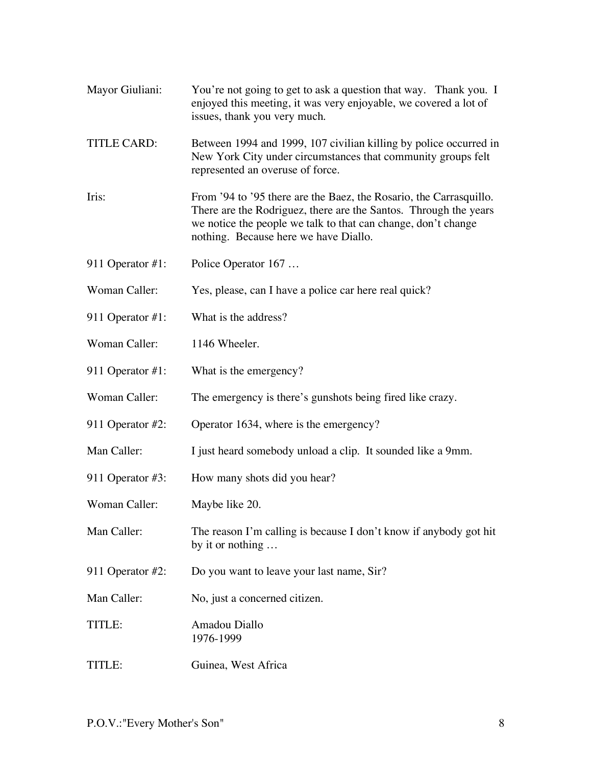| Mayor Giuliani:    | You're not going to get to ask a question that way. Thank you. I<br>enjoyed this meeting, it was very enjoyable, we covered a lot of<br>issues, thank you very much.                                                                             |
|--------------------|--------------------------------------------------------------------------------------------------------------------------------------------------------------------------------------------------------------------------------------------------|
| <b>TITLE CARD:</b> | Between 1994 and 1999, 107 civilian killing by police occurred in<br>New York City under circumstances that community groups felt<br>represented an overuse of force.                                                                            |
| Iris:              | From '94 to '95 there are the Baez, the Rosario, the Carrasquillo.<br>There are the Rodriguez, there are the Santos. Through the years<br>we notice the people we talk to that can change, don't change<br>nothing. Because here we have Diallo. |
| 911 Operator #1:   | Police Operator 167                                                                                                                                                                                                                              |
| Woman Caller:      | Yes, please, can I have a police car here real quick?                                                                                                                                                                                            |
| 911 Operator #1:   | What is the address?                                                                                                                                                                                                                             |
| Woman Caller:      | 1146 Wheeler.                                                                                                                                                                                                                                    |
| 911 Operator #1:   | What is the emergency?                                                                                                                                                                                                                           |
| Woman Caller:      | The emergency is there's gunshots being fired like crazy.                                                                                                                                                                                        |
| 911 Operator #2:   | Operator 1634, where is the emergency?                                                                                                                                                                                                           |
| Man Caller:        | I just heard somebody unload a clip. It sounded like a 9mm.                                                                                                                                                                                      |
| 911 Operator #3:   | How many shots did you hear?                                                                                                                                                                                                                     |
| Woman Caller:      | Maybe like 20.                                                                                                                                                                                                                                   |
| Man Caller:        | The reason I'm calling is because I don't know if anybody got hit<br>by it or nothing                                                                                                                                                            |
| 911 Operator #2:   | Do you want to leave your last name, Sir?                                                                                                                                                                                                        |
| Man Caller:        | No, just a concerned citizen.                                                                                                                                                                                                                    |
| TITLE:             | Amadou Diallo<br>1976-1999                                                                                                                                                                                                                       |
| TITLE:             | Guinea, West Africa                                                                                                                                                                                                                              |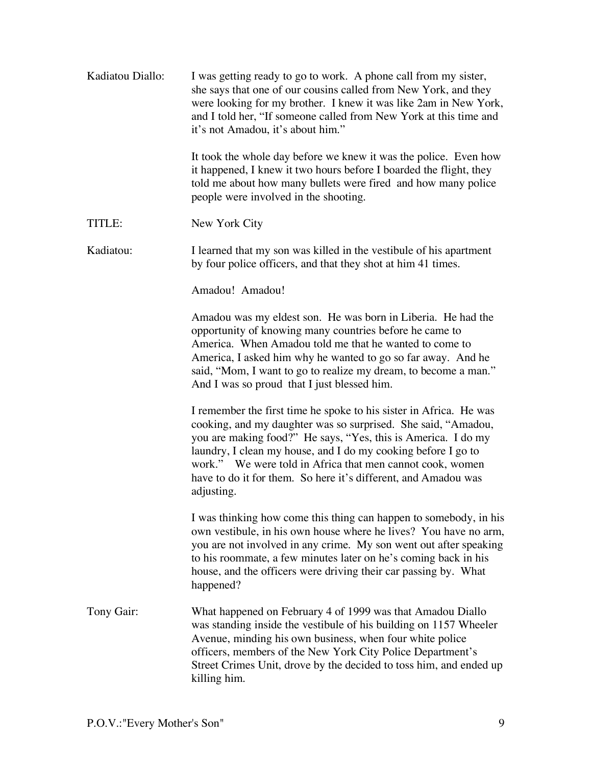| Kadiatou Diallo: | I was getting ready to go to work. A phone call from my sister,<br>she says that one of our cousins called from New York, and they<br>were looking for my brother. I knew it was like 2am in New York,<br>and I told her, "If someone called from New York at this time and<br>it's not Amadou, it's about him."                                                                                                   |
|------------------|--------------------------------------------------------------------------------------------------------------------------------------------------------------------------------------------------------------------------------------------------------------------------------------------------------------------------------------------------------------------------------------------------------------------|
|                  | It took the whole day before we knew it was the police. Even how<br>it happened, I knew it two hours before I boarded the flight, they<br>told me about how many bullets were fired and how many police<br>people were involved in the shooting.                                                                                                                                                                   |
| TITLE:           | New York City                                                                                                                                                                                                                                                                                                                                                                                                      |
| Kadiatou:        | I learned that my son was killed in the vestibule of his apartment<br>by four police officers, and that they shot at him 41 times.                                                                                                                                                                                                                                                                                 |
|                  | Amadou! Amadou!                                                                                                                                                                                                                                                                                                                                                                                                    |
|                  | Amadou was my eldest son. He was born in Liberia. He had the<br>opportunity of knowing many countries before he came to<br>America. When Amadou told me that he wanted to come to<br>America, I asked him why he wanted to go so far away. And he<br>said, "Mom, I want to go to realize my dream, to become a man."<br>And I was so proud that I just blessed him.                                                |
|                  | I remember the first time he spoke to his sister in Africa. He was<br>cooking, and my daughter was so surprised. She said, "Amadou,<br>you are making food?" He says, "Yes, this is America. I do my<br>laundry, I clean my house, and I do my cooking before I go to<br>work." We were told in Africa that men cannot cook, women<br>have to do it for them. So here it's different, and Amadou was<br>adjusting. |
|                  | I was thinking how come this thing can happen to somebody, in his<br>own vestibule, in his own house where he lives? You have no arm,<br>you are not involved in any crime. My son went out after speaking<br>to his roommate, a few minutes later on he's coming back in his<br>house, and the officers were driving their car passing by. What<br>happened?                                                      |
| Tony Gair:       | What happened on February 4 of 1999 was that Amadou Diallo<br>was standing inside the vestibule of his building on 1157 Wheeler<br>Avenue, minding his own business, when four white police<br>officers, members of the New York City Police Department's<br>Street Crimes Unit, drove by the decided to toss him, and ended up<br>killing him.                                                                    |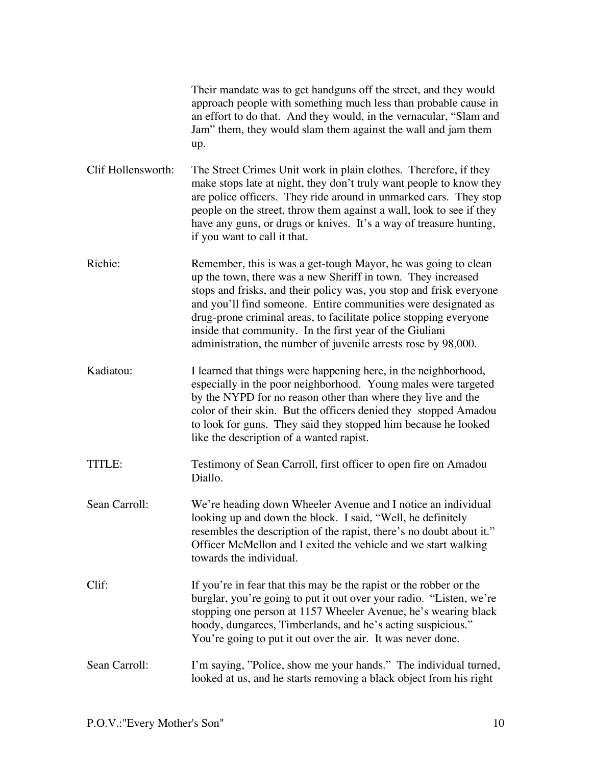|                    | Their mandate was to get handguns off the street, and they would<br>approach people with something much less than probable cause in<br>an effort to do that. And they would, in the vernacular, "Slam and<br>Jam" them, they would slam them against the wall and jam them<br>up.                                                                                                                                                                                          |
|--------------------|----------------------------------------------------------------------------------------------------------------------------------------------------------------------------------------------------------------------------------------------------------------------------------------------------------------------------------------------------------------------------------------------------------------------------------------------------------------------------|
| Clif Hollensworth: | The Street Crimes Unit work in plain clothes. Therefore, if they<br>make stops late at night, they don't truly want people to know they<br>are police officers. They ride around in unmarked cars. They stop<br>people on the street, throw them against a wall, look to see if they<br>have any guns, or drugs or knives. It's a way of treasure hunting,<br>if you want to call it that.                                                                                 |
| Richie:            | Remember, this is was a get-tough Mayor, he was going to clean<br>up the town, there was a new Sheriff in town. They increased<br>stops and frisks, and their policy was, you stop and frisk everyone<br>and you'll find someone. Entire communities were designated as<br>drug-prone criminal areas, to facilitate police stopping everyone<br>inside that community. In the first year of the Giuliani<br>administration, the number of juvenile arrests rose by 98,000. |
| Kadiatou:          | I learned that things were happening here, in the neighborhood,<br>especially in the poor neighborhood. Young males were targeted<br>by the NYPD for no reason other than where they live and the<br>color of their skin. But the officers denied they stopped Amadou<br>to look for guns. They said they stopped him because he looked<br>like the description of a wanted rapist.                                                                                        |
| TITLE:             | Testimony of Sean Carroll, first officer to open fire on Amadou<br>Diallo.                                                                                                                                                                                                                                                                                                                                                                                                 |
| Sean Carroll:      | We're heading down Wheeler Avenue and I notice an individual<br>looking up and down the block. I said, "Well, he definitely<br>resembles the description of the rapist, there's no doubt about it."<br>Officer McMellon and I exited the vehicle and we start walking<br>towards the individual.                                                                                                                                                                           |
| Clif:              | If you're in fear that this may be the rapist or the robber or the<br>burglar, you're going to put it out over your radio. "Listen, we're<br>stopping one person at 1157 Wheeler Avenue, he's wearing black<br>hoody, dungarees, Timberlands, and he's acting suspicious."<br>You're going to put it out over the air. It was never done.                                                                                                                                  |
| Sean Carroll:      | I'm saying, "Police, show me your hands." The individual turned,<br>looked at us, and he starts removing a black object from his right                                                                                                                                                                                                                                                                                                                                     |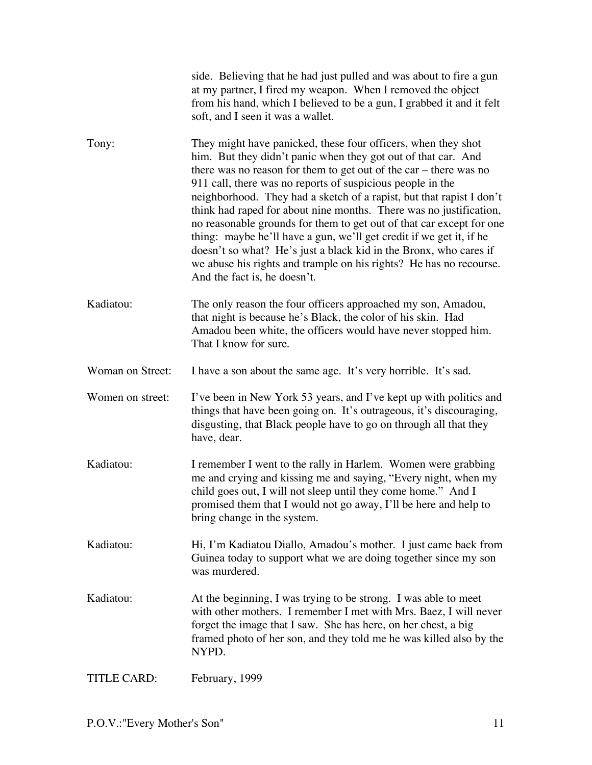| side. Believing that he had just pulled and was about to fire a gun<br>at my partner, I fired my weapon. When I removed the object<br>from his hand, which I believed to be a gun, I grabbed it and it felt<br>soft, and I seen it was a wallet.                                                                                                                                                                                                                                                                                                                                                                                                                                                                                          |
|-------------------------------------------------------------------------------------------------------------------------------------------------------------------------------------------------------------------------------------------------------------------------------------------------------------------------------------------------------------------------------------------------------------------------------------------------------------------------------------------------------------------------------------------------------------------------------------------------------------------------------------------------------------------------------------------------------------------------------------------|
| They might have panicked, these four officers, when they shot<br>him. But they didn't panic when they got out of that car. And<br>there was no reason for them to get out of the car - there was no<br>911 call, there was no reports of suspicious people in the<br>neighborhood. They had a sketch of a rapist, but that rapist I don't<br>think had raped for about nine months. There was no justification,<br>no reasonable grounds for them to get out of that car except for one<br>thing: maybe he'll have a gun, we'll get credit if we get it, if he<br>doesn't so what? He's just a black kid in the Bronx, who cares if<br>we abuse his rights and trample on his rights? He has no recourse.<br>And the fact is, he doesn't. |
| The only reason the four officers approached my son, Amadou,<br>that night is because he's Black, the color of his skin. Had<br>Amadou been white, the officers would have never stopped him.<br>That I know for sure.                                                                                                                                                                                                                                                                                                                                                                                                                                                                                                                    |
| I have a son about the same age. It's very horrible. It's sad.                                                                                                                                                                                                                                                                                                                                                                                                                                                                                                                                                                                                                                                                            |
| I've been in New York 53 years, and I've kept up with politics and<br>things that have been going on. It's outrageous, it's discouraging,<br>disgusting, that Black people have to go on through all that they<br>have, dear.                                                                                                                                                                                                                                                                                                                                                                                                                                                                                                             |
| I remember I went to the rally in Harlem. Women were grabbing<br>me and crying and kissing me and saying, "Every night, when my<br>child goes out, I will not sleep until they come home." And I<br>promised them that I would not go away, I'll be here and help to<br>bring change in the system.                                                                                                                                                                                                                                                                                                                                                                                                                                       |
| Hi, I'm Kadiatou Diallo, Amadou's mother. I just came back from<br>Guinea today to support what we are doing together since my son<br>was murdered.                                                                                                                                                                                                                                                                                                                                                                                                                                                                                                                                                                                       |
| At the beginning, I was trying to be strong. I was able to meet<br>with other mothers. I remember I met with Mrs. Baez, I will never<br>forget the image that I saw. She has here, on her chest, a big<br>framed photo of her son, and they told me he was killed also by the<br>NYPD.                                                                                                                                                                                                                                                                                                                                                                                                                                                    |
| February, 1999                                                                                                                                                                                                                                                                                                                                                                                                                                                                                                                                                                                                                                                                                                                            |
|                                                                                                                                                                                                                                                                                                                                                                                                                                                                                                                                                                                                                                                                                                                                           |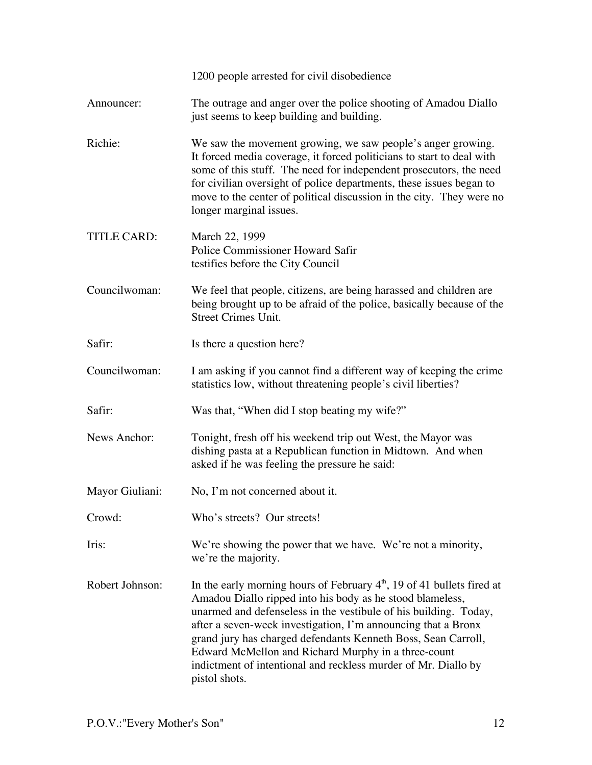|                    | 1200 people arrested for civil disobedience                                                                                                                                                                                                                                                                                                                                                                                                                                           |
|--------------------|---------------------------------------------------------------------------------------------------------------------------------------------------------------------------------------------------------------------------------------------------------------------------------------------------------------------------------------------------------------------------------------------------------------------------------------------------------------------------------------|
| Announcer:         | The outrage and anger over the police shooting of Amadou Diallo<br>just seems to keep building and building.                                                                                                                                                                                                                                                                                                                                                                          |
| Richie:            | We saw the movement growing, we saw people's anger growing.<br>It forced media coverage, it forced politicians to start to deal with<br>some of this stuff. The need for independent prosecutors, the need<br>for civilian oversight of police departments, these issues began to<br>move to the center of political discussion in the city. They were no<br>longer marginal issues.                                                                                                  |
| <b>TITLE CARD:</b> | March 22, 1999<br>Police Commissioner Howard Safir<br>testifies before the City Council                                                                                                                                                                                                                                                                                                                                                                                               |
| Councilwoman:      | We feel that people, citizens, are being harassed and children are<br>being brought up to be afraid of the police, basically because of the<br><b>Street Crimes Unit.</b>                                                                                                                                                                                                                                                                                                             |
| Safir:             | Is there a question here?                                                                                                                                                                                                                                                                                                                                                                                                                                                             |
| Councilwoman:      | I am asking if you cannot find a different way of keeping the crime<br>statistics low, without threatening people's civil liberties?                                                                                                                                                                                                                                                                                                                                                  |
| Safir:             | Was that, "When did I stop beating my wife?"                                                                                                                                                                                                                                                                                                                                                                                                                                          |
| News Anchor:       | Tonight, fresh off his weekend trip out West, the Mayor was<br>dishing pasta at a Republican function in Midtown. And when<br>asked if he was feeling the pressure he said:                                                                                                                                                                                                                                                                                                           |
| Mayor Giuliani:    | No, I'm not concerned about it.                                                                                                                                                                                                                                                                                                                                                                                                                                                       |
| Crowd:             | Who's streets? Our streets!                                                                                                                                                                                                                                                                                                                                                                                                                                                           |
| Iris:              | We're showing the power that we have. We're not a minority,<br>we're the majority.                                                                                                                                                                                                                                                                                                                                                                                                    |
| Robert Johnson:    | In the early morning hours of February $4th$ , 19 of 41 bullets fired at<br>Amadou Diallo ripped into his body as he stood blameless,<br>unarmed and defenseless in the vestibule of his building. Today,<br>after a seven-week investigation, I'm announcing that a Bronx<br>grand jury has charged defendants Kenneth Boss, Sean Carroll,<br>Edward McMellon and Richard Murphy in a three-count<br>indictment of intentional and reckless murder of Mr. Diallo by<br>pistol shots. |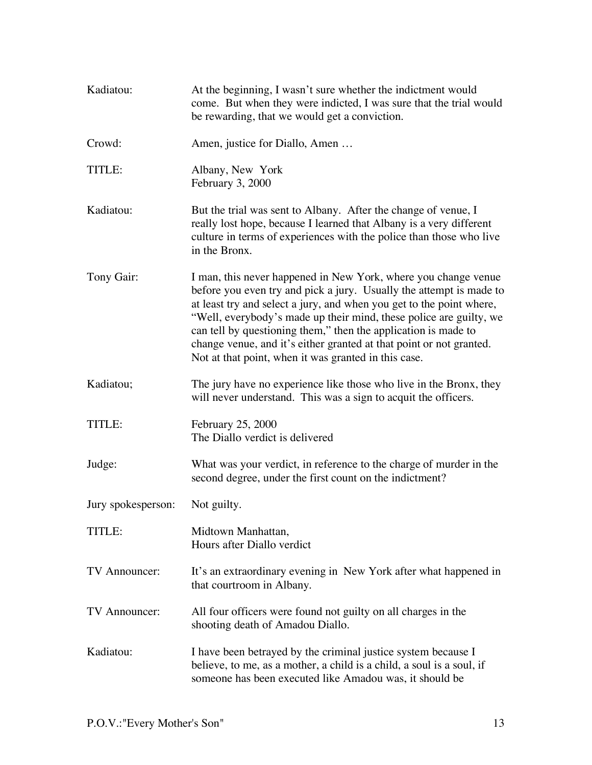| Kadiatou:          | At the beginning, I wasn't sure whether the indictment would<br>come. But when they were indicted, I was sure that the trial would<br>be rewarding, that we would get a conviction.                                                                                                                                                                                                                                                                                                  |
|--------------------|--------------------------------------------------------------------------------------------------------------------------------------------------------------------------------------------------------------------------------------------------------------------------------------------------------------------------------------------------------------------------------------------------------------------------------------------------------------------------------------|
| Crowd:             | Amen, justice for Diallo, Amen                                                                                                                                                                                                                                                                                                                                                                                                                                                       |
| TITLE:             | Albany, New York<br>February 3, 2000                                                                                                                                                                                                                                                                                                                                                                                                                                                 |
| Kadiatou:          | But the trial was sent to Albany. After the change of venue, I<br>really lost hope, because I learned that Albany is a very different<br>culture in terms of experiences with the police than those who live<br>in the Bronx.                                                                                                                                                                                                                                                        |
| Tony Gair:         | I man, this never happened in New York, where you change venue<br>before you even try and pick a jury. Usually the attempt is made to<br>at least try and select a jury, and when you get to the point where,<br>"Well, everybody's made up their mind, these police are guilty, we<br>can tell by questioning them," then the application is made to<br>change venue, and it's either granted at that point or not granted.<br>Not at that point, when it was granted in this case. |
| Kadiatou;          | The jury have no experience like those who live in the Bronx, they<br>will never understand. This was a sign to acquit the officers.                                                                                                                                                                                                                                                                                                                                                 |
| TITLE:             | February 25, 2000<br>The Diallo verdict is delivered                                                                                                                                                                                                                                                                                                                                                                                                                                 |
| Judge:             | What was your verdict, in reference to the charge of murder in the<br>second degree, under the first count on the indictment?                                                                                                                                                                                                                                                                                                                                                        |
| Jury spokesperson: | Not guilty.                                                                                                                                                                                                                                                                                                                                                                                                                                                                          |
| TITLE:             | Midtown Manhattan,<br>Hours after Diallo verdict                                                                                                                                                                                                                                                                                                                                                                                                                                     |
| TV Announcer:      | It's an extraordinary evening in New York after what happened in<br>that courtroom in Albany.                                                                                                                                                                                                                                                                                                                                                                                        |
| TV Announcer:      | All four officers were found not guilty on all charges in the<br>shooting death of Amadou Diallo.                                                                                                                                                                                                                                                                                                                                                                                    |
| Kadiatou:          | I have been betrayed by the criminal justice system because I<br>believe, to me, as a mother, a child is a child, a soul is a soul, if<br>someone has been executed like Amadou was, it should be                                                                                                                                                                                                                                                                                    |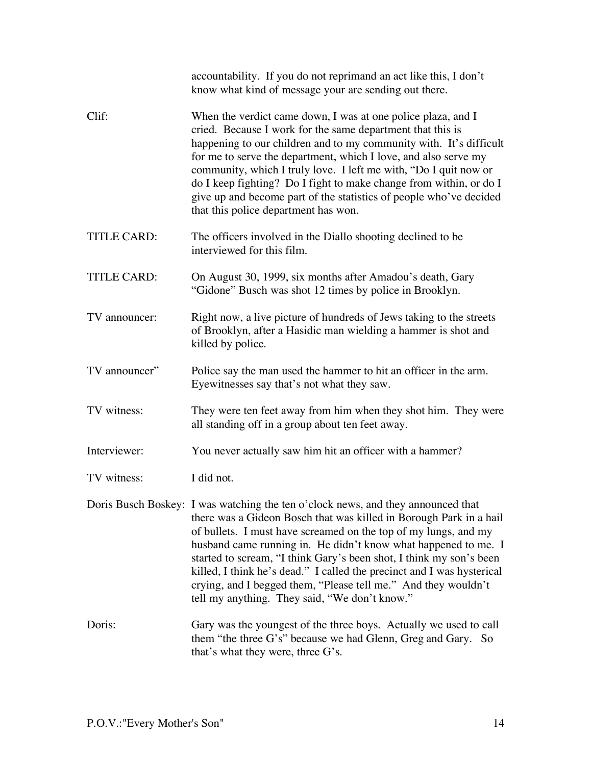|                    | accountability. If you do not reprimand an act like this, I don't<br>know what kind of message your are sending out there.                                                                                                                                                                                                                                                                                                                                                                                                                                      |
|--------------------|-----------------------------------------------------------------------------------------------------------------------------------------------------------------------------------------------------------------------------------------------------------------------------------------------------------------------------------------------------------------------------------------------------------------------------------------------------------------------------------------------------------------------------------------------------------------|
| Clif:              | When the verdict came down, I was at one police plaza, and I<br>cried. Because I work for the same department that this is<br>happening to our children and to my community with. It's difficult<br>for me to serve the department, which I love, and also serve my<br>community, which I truly love. I left me with, "Do I quit now or<br>do I keep fighting? Do I fight to make change from within, or do I<br>give up and become part of the statistics of people who've decided<br>that this police department has won.                                     |
| <b>TITLE CARD:</b> | The officers involved in the Diallo shooting declined to be<br>interviewed for this film.                                                                                                                                                                                                                                                                                                                                                                                                                                                                       |
| <b>TITLE CARD:</b> | On August 30, 1999, six months after Amadou's death, Gary<br>"Gidone" Busch was shot 12 times by police in Brooklyn.                                                                                                                                                                                                                                                                                                                                                                                                                                            |
| TV announcer:      | Right now, a live picture of hundreds of Jews taking to the streets<br>of Brooklyn, after a Hasidic man wielding a hammer is shot and<br>killed by police.                                                                                                                                                                                                                                                                                                                                                                                                      |
| TV announcer"      | Police say the man used the hammer to hit an officer in the arm.<br>Eyewitnesses say that's not what they saw.                                                                                                                                                                                                                                                                                                                                                                                                                                                  |
| TV witness:        | They were ten feet away from him when they shot him. They were<br>all standing off in a group about ten feet away.                                                                                                                                                                                                                                                                                                                                                                                                                                              |
| Interviewer:       | You never actually saw him hit an officer with a hammer?                                                                                                                                                                                                                                                                                                                                                                                                                                                                                                        |
| TV witness:        | I did not.                                                                                                                                                                                                                                                                                                                                                                                                                                                                                                                                                      |
|                    | Doris Busch Boskey: I was watching the ten o'clock news, and they announced that<br>there was a Gideon Bosch that was killed in Borough Park in a hail<br>of bullets. I must have screamed on the top of my lungs, and my<br>husband came running in. He didn't know what happened to me. I<br>started to scream, "I think Gary's been shot, I think my son's been<br>killed, I think he's dead." I called the precinct and I was hysterical<br>crying, and I begged them, "Please tell me." And they wouldn't<br>tell my anything. They said, "We don't know." |
| Doris:             | Gary was the youngest of the three boys. Actually we used to call<br>them "the three G's" because we had Glenn, Greg and Gary. So<br>that's what they were, three G's.                                                                                                                                                                                                                                                                                                                                                                                          |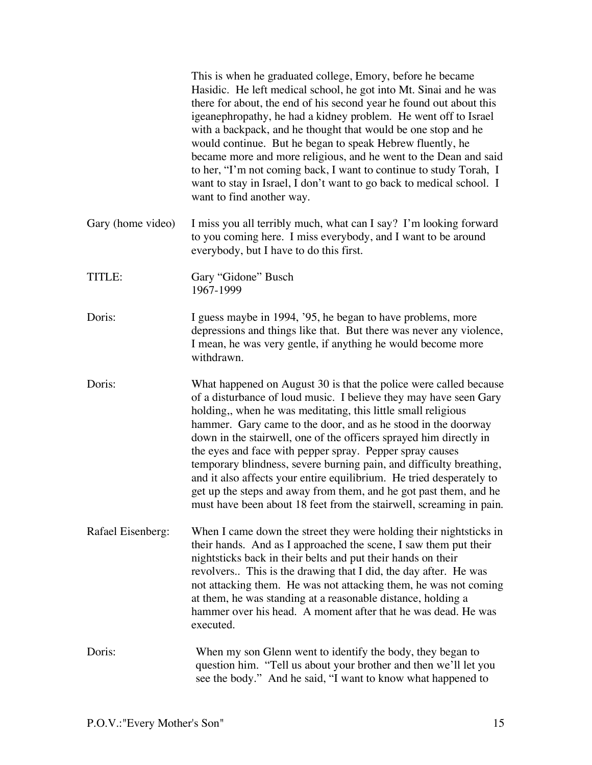|                   | This is when he graduated college, Emory, before he became<br>Hasidic. He left medical school, he got into Mt. Sinai and he was<br>there for about, the end of his second year he found out about this<br>igeanephropathy, he had a kidney problem. He went off to Israel<br>with a backpack, and he thought that would be one stop and he<br>would continue. But he began to speak Hebrew fluently, he<br>became more and more religious, and he went to the Dean and said<br>to her, "I'm not coming back, I want to continue to study Torah, I<br>want to stay in Israel, I don't want to go back to medical school. I<br>want to find another way.                                                |
|-------------------|-------------------------------------------------------------------------------------------------------------------------------------------------------------------------------------------------------------------------------------------------------------------------------------------------------------------------------------------------------------------------------------------------------------------------------------------------------------------------------------------------------------------------------------------------------------------------------------------------------------------------------------------------------------------------------------------------------|
| Gary (home video) | I miss you all terribly much, what can I say? I'm looking forward<br>to you coming here. I miss everybody, and I want to be around<br>everybody, but I have to do this first.                                                                                                                                                                                                                                                                                                                                                                                                                                                                                                                         |
| TITLE:            | Gary "Gidone" Busch<br>1967-1999                                                                                                                                                                                                                                                                                                                                                                                                                                                                                                                                                                                                                                                                      |
| Doris:            | I guess maybe in 1994, '95, he began to have problems, more<br>depressions and things like that. But there was never any violence,<br>I mean, he was very gentle, if anything he would become more<br>withdrawn.                                                                                                                                                                                                                                                                                                                                                                                                                                                                                      |
| Doris:            | What happened on August 30 is that the police were called because<br>of a disturbance of loud music. I believe they may have seen Gary<br>holding,, when he was meditating, this little small religious<br>hammer. Gary came to the door, and as he stood in the doorway<br>down in the stairwell, one of the officers sprayed him directly in<br>the eyes and face with pepper spray. Pepper spray causes<br>temporary blindness, severe burning pain, and difficulty breathing,<br>and it also affects your entire equilibrium. He tried desperately to<br>get up the steps and away from them, and he got past them, and he<br>must have been about 18 feet from the stairwell, screaming in pain. |
| Rafael Eisenberg: | When I came down the street they were holding their night sticks in<br>their hands. And as I approached the scene, I saw them put their<br>nightsticks back in their belts and put their hands on their<br>revolvers This is the drawing that I did, the day after. He was<br>not attacking them. He was not attacking them, he was not coming<br>at them, he was standing at a reasonable distance, holding a<br>hammer over his head. A moment after that he was dead. He was<br>executed.                                                                                                                                                                                                          |
| Doris:            | When my son Glenn went to identify the body, they began to<br>question him. "Tell us about your brother and then we'll let you<br>see the body." And he said, "I want to know what happened to                                                                                                                                                                                                                                                                                                                                                                                                                                                                                                        |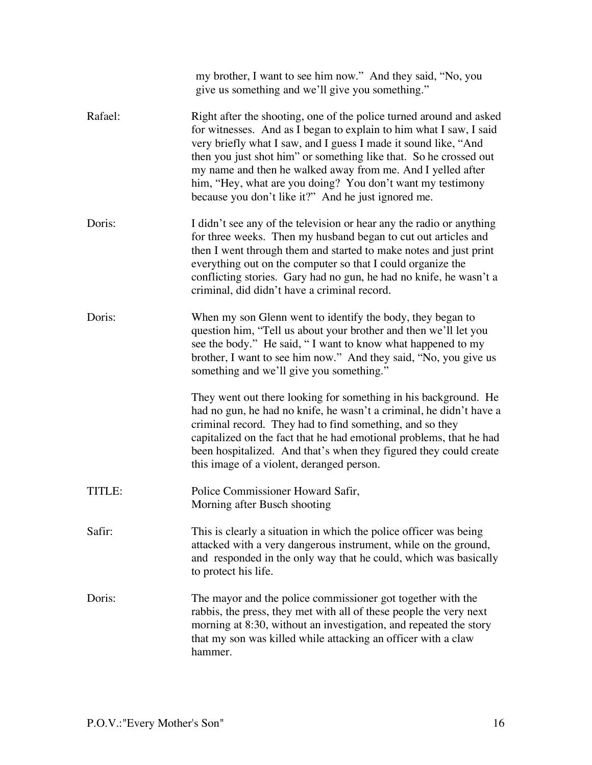|         | my brother, I want to see him now." And they said, "No, you<br>give us something and we'll give you something."                                                                                                                                                                                                                                                                                                                                                       |
|---------|-----------------------------------------------------------------------------------------------------------------------------------------------------------------------------------------------------------------------------------------------------------------------------------------------------------------------------------------------------------------------------------------------------------------------------------------------------------------------|
| Rafael: | Right after the shooting, one of the police turned around and asked<br>for witnesses. And as I began to explain to him what I saw, I said<br>very briefly what I saw, and I guess I made it sound like, "And<br>then you just shot him" or something like that. So he crossed out<br>my name and then he walked away from me. And I yelled after<br>him, "Hey, what are you doing? You don't want my testimony<br>because you don't like it?" And he just ignored me. |
| Doris:  | I didn't see any of the television or hear any the radio or anything<br>for three weeks. Then my husband began to cut out articles and<br>then I went through them and started to make notes and just print<br>everything out on the computer so that I could organize the<br>conflicting stories. Gary had no gun, he had no knife, he wasn't a<br>criminal, did didn't have a criminal record.                                                                      |
| Doris:  | When my son Glenn went to identify the body, they began to<br>question him, "Tell us about your brother and then we'll let you<br>see the body." He said, "I want to know what happened to my<br>brother, I want to see him now." And they said, "No, you give us<br>something and we'll give you something."                                                                                                                                                         |
|         | They went out there looking for something in his background. He<br>had no gun, he had no knife, he wasn't a criminal, he didn't have a<br>criminal record. They had to find something, and so they<br>capitalized on the fact that he had emotional problems, that he had<br>been hospitalized. And that's when they figured they could create<br>this image of a violent, deranged person.                                                                           |
| TITLE:  | Police Commissioner Howard Safir,<br>Morning after Busch shooting                                                                                                                                                                                                                                                                                                                                                                                                     |
| Safir:  | This is clearly a situation in which the police officer was being<br>attacked with a very dangerous instrument, while on the ground,<br>and responded in the only way that he could, which was basically<br>to protect his life.                                                                                                                                                                                                                                      |
| Doris:  | The mayor and the police commissioner got together with the<br>rabbis, the press, they met with all of these people the very next<br>morning at 8:30, without an investigation, and repeated the story<br>that my son was killed while attacking an officer with a claw<br>hammer.                                                                                                                                                                                    |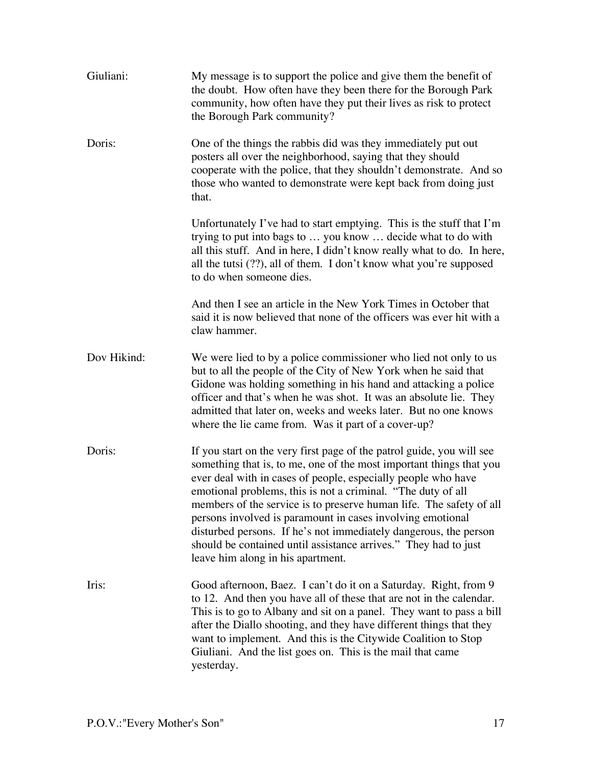| Giuliani:   | My message is to support the police and give them the benefit of<br>the doubt. How often have they been there for the Borough Park<br>community, how often have they put their lives as risk to protect<br>the Borough Park community?                                                                                                                                                                                                                                                                                                                                                         |
|-------------|------------------------------------------------------------------------------------------------------------------------------------------------------------------------------------------------------------------------------------------------------------------------------------------------------------------------------------------------------------------------------------------------------------------------------------------------------------------------------------------------------------------------------------------------------------------------------------------------|
| Doris:      | One of the things the rabbis did was they immediately put out<br>posters all over the neighborhood, saying that they should<br>cooperate with the police, that they shouldn't demonstrate. And so<br>those who wanted to demonstrate were kept back from doing just<br>that.                                                                                                                                                                                                                                                                                                                   |
|             | Unfortunately I've had to start emptying. This is the stuff that I'm<br>trying to put into bags to  you know  decide what to do with<br>all this stuff. And in here, I didn't know really what to do. In here,<br>all the tutsi (??), all of them. I don't know what you're supposed<br>to do when someone dies.                                                                                                                                                                                                                                                                               |
|             | And then I see an article in the New York Times in October that<br>said it is now believed that none of the officers was ever hit with a<br>claw hammer.                                                                                                                                                                                                                                                                                                                                                                                                                                       |
| Dov Hikind: | We were lied to by a police commissioner who lied not only to us<br>but to all the people of the City of New York when he said that<br>Gidone was holding something in his hand and attacking a police<br>officer and that's when he was shot. It was an absolute lie. They<br>admitted that later on, weeks and weeks later. But no one knows<br>where the lie came from. Was it part of a cover-up?                                                                                                                                                                                          |
| Doris:      | If you start on the very first page of the patrol guide, you will see<br>something that is, to me, one of the most important things that you<br>ever deal with in cases of people, especially people who have<br>emotional problems, this is not a criminal. "The duty of all<br>members of the service is to preserve human life. The safety of all<br>persons involved is paramount in cases involving emotional<br>disturbed persons. If he's not immediately dangerous, the person<br>should be contained until assistance arrives." They had to just<br>leave him along in his apartment. |
| Iris:       | Good afternoon, Baez. I can't do it on a Saturday. Right, from 9<br>to 12. And then you have all of these that are not in the calendar.<br>This is to go to Albany and sit on a panel. They want to pass a bill<br>after the Diallo shooting, and they have different things that they<br>want to implement. And this is the Citywide Coalition to Stop<br>Giuliani. And the list goes on. This is the mail that came<br>yesterday.                                                                                                                                                            |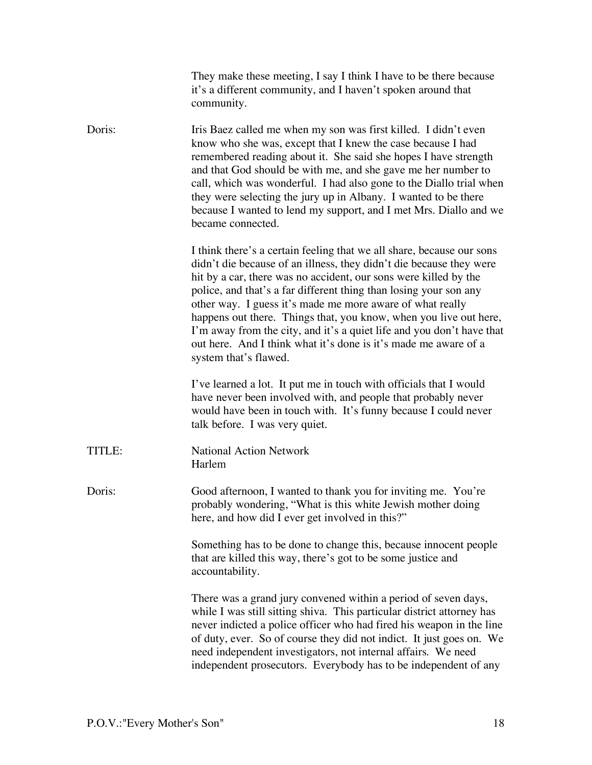|        | They make these meeting, I say I think I have to be there because<br>it's a different community, and I haven't spoken around that<br>community.                                                                                                                                                                                                                                                                                                                                                                                                                                              |
|--------|----------------------------------------------------------------------------------------------------------------------------------------------------------------------------------------------------------------------------------------------------------------------------------------------------------------------------------------------------------------------------------------------------------------------------------------------------------------------------------------------------------------------------------------------------------------------------------------------|
| Doris: | Iris Baez called me when my son was first killed. I didn't even<br>know who she was, except that I knew the case because I had<br>remembered reading about it. She said she hopes I have strength<br>and that God should be with me, and she gave me her number to<br>call, which was wonderful. I had also gone to the Diallo trial when<br>they were selecting the jury up in Albany. I wanted to be there<br>because I wanted to lend my support, and I met Mrs. Diallo and we<br>became connected.                                                                                       |
|        | I think there's a certain feeling that we all share, because our sons<br>didn't die because of an illness, they didn't die because they were<br>hit by a car, there was no accident, our sons were killed by the<br>police, and that's a far different thing than losing your son any<br>other way. I guess it's made me more aware of what really<br>happens out there. Things that, you know, when you live out here,<br>I'm away from the city, and it's a quiet life and you don't have that<br>out here. And I think what it's done is it's made me aware of a<br>system that's flawed. |
|        | I've learned a lot. It put me in touch with officials that I would<br>have never been involved with, and people that probably never<br>would have been in touch with. It's funny because I could never<br>talk before. I was very quiet.                                                                                                                                                                                                                                                                                                                                                     |
| TITLE: | <b>National Action Network</b><br>Harlem                                                                                                                                                                                                                                                                                                                                                                                                                                                                                                                                                     |
| Doris: | Good afternoon, I wanted to thank you for inviting me. You're<br>probably wondering, "What is this white Jewish mother doing<br>here, and how did I ever get involved in this?"                                                                                                                                                                                                                                                                                                                                                                                                              |
|        | Something has to be done to change this, because innocent people<br>that are killed this way, there's got to be some justice and<br>accountability.                                                                                                                                                                                                                                                                                                                                                                                                                                          |
|        | There was a grand jury convened within a period of seven days,<br>while I was still sitting shiva. This particular district attorney has<br>never indicted a police officer who had fired his weapon in the line<br>of duty, ever. So of course they did not indict. It just goes on. We<br>need independent investigators, not internal affairs. We need<br>independent prosecutors. Everybody has to be independent of any                                                                                                                                                                 |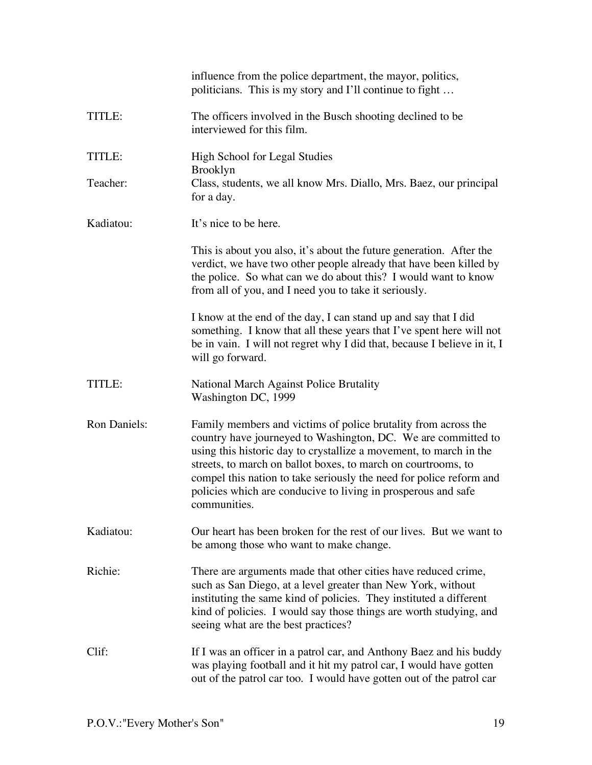|                     | influence from the police department, the mayor, politics,<br>politicians. This is my story and I'll continue to fight                                                                                                                                                                                                                                                                                                         |
|---------------------|--------------------------------------------------------------------------------------------------------------------------------------------------------------------------------------------------------------------------------------------------------------------------------------------------------------------------------------------------------------------------------------------------------------------------------|
| TITLE:              | The officers involved in the Busch shooting declined to be<br>interviewed for this film.                                                                                                                                                                                                                                                                                                                                       |
| TITLE:              | High School for Legal Studies<br><b>Brooklyn</b>                                                                                                                                                                                                                                                                                                                                                                               |
| Teacher:            | Class, students, we all know Mrs. Diallo, Mrs. Baez, our principal<br>for a day.                                                                                                                                                                                                                                                                                                                                               |
| Kadiatou:           | It's nice to be here.                                                                                                                                                                                                                                                                                                                                                                                                          |
|                     | This is about you also, it's about the future generation. After the<br>verdict, we have two other people already that have been killed by<br>the police. So what can we do about this? I would want to know<br>from all of you, and I need you to take it seriously.                                                                                                                                                           |
|                     | I know at the end of the day, I can stand up and say that I did<br>something. I know that all these years that I've spent here will not<br>be in vain. I will not regret why I did that, because I believe in it, I<br>will go forward.                                                                                                                                                                                        |
| TITLE:              | National March Against Police Brutality<br>Washington DC, 1999                                                                                                                                                                                                                                                                                                                                                                 |
| <b>Ron Daniels:</b> | Family members and victims of police brutality from across the<br>country have journeyed to Washington, DC. We are committed to<br>using this historic day to crystallize a movement, to march in the<br>streets, to march on ballot boxes, to march on courtrooms, to<br>compel this nation to take seriously the need for police reform and<br>policies which are conducive to living in prosperous and safe<br>communities. |
| Kadiatou:           | Our heart has been broken for the rest of our lives. But we want to<br>be among those who want to make change.                                                                                                                                                                                                                                                                                                                 |
| Richie:             | There are arguments made that other cities have reduced crime,<br>such as San Diego, at a level greater than New York, without<br>instituting the same kind of policies. They instituted a different<br>kind of policies. I would say those things are worth studying, and<br>seeing what are the best practices?                                                                                                              |
| Clif:               | If I was an officer in a patrol car, and Anthony Baez and his buddy<br>was playing football and it hit my patrol car, I would have gotten<br>out of the patrol car too. I would have gotten out of the patrol car                                                                                                                                                                                                              |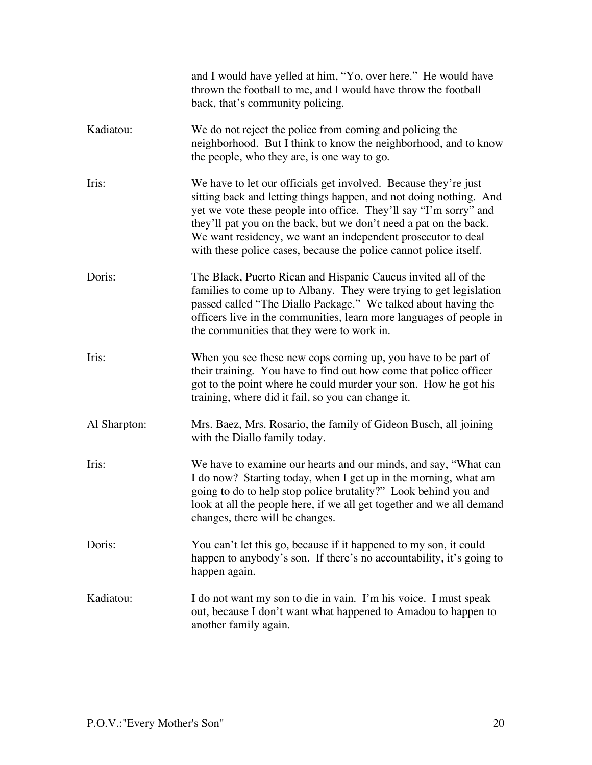|              | and I would have yelled at him, "Yo, over here." He would have<br>thrown the football to me, and I would have throw the football<br>back, that's community policing.                                                                                                                                                                                                                                                 |
|--------------|----------------------------------------------------------------------------------------------------------------------------------------------------------------------------------------------------------------------------------------------------------------------------------------------------------------------------------------------------------------------------------------------------------------------|
| Kadiatou:    | We do not reject the police from coming and policing the<br>neighborhood. But I think to know the neighborhood, and to know<br>the people, who they are, is one way to go.                                                                                                                                                                                                                                           |
| Iris:        | We have to let our officials get involved. Because they're just<br>sitting back and letting things happen, and not doing nothing. And<br>yet we vote these people into office. They'll say "I'm sorry" and<br>they'll pat you on the back, but we don't need a pat on the back.<br>We want residency, we want an independent prosecutor to deal<br>with these police cases, because the police cannot police itself. |
| Doris:       | The Black, Puerto Rican and Hispanic Caucus invited all of the<br>families to come up to Albany. They were trying to get legislation<br>passed called "The Diallo Package." We talked about having the<br>officers live in the communities, learn more languages of people in<br>the communities that they were to work in.                                                                                          |
| Iris:        | When you see these new cops coming up, you have to be part of<br>their training. You have to find out how come that police officer<br>got to the point where he could murder your son. How he got his<br>training, where did it fail, so you can change it.                                                                                                                                                          |
| Al Sharpton: | Mrs. Baez, Mrs. Rosario, the family of Gideon Busch, all joining<br>with the Diallo family today.                                                                                                                                                                                                                                                                                                                    |
| Iris:        | We have to examine our hearts and our minds, and say, "What can<br>I do now? Starting today, when I get up in the morning, what am<br>going to do to help stop police brutality?" Look behind you and<br>look at all the people here, if we all get together and we all demand<br>changes, there will be changes.                                                                                                    |
| Doris:       | You can't let this go, because if it happened to my son, it could<br>happen to anybody's son. If there's no accountability, it's going to<br>happen again.                                                                                                                                                                                                                                                           |
| Kadiatou:    | I do not want my son to die in vain. I'm his voice. I must speak<br>out, because I don't want what happened to Amadou to happen to<br>another family again.                                                                                                                                                                                                                                                          |